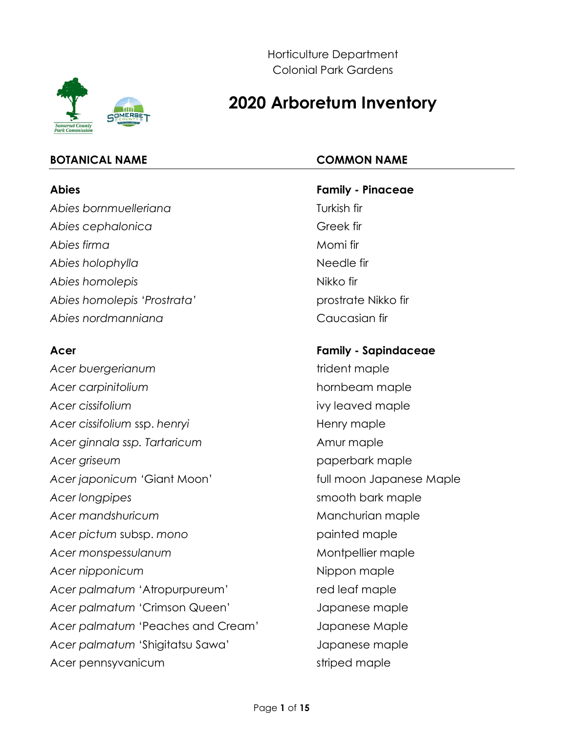

Horticulture Department Colonial Park Gardens

# **2020 Arboretum Inventory**

# **BOTANICAL NAME COMMON NAME**

Abies bornmuelleriana Abies cephalonica and a Greek firm and the Sea of the Sea of the Greek firm and the Greek firm and the Sea of the Sea of the Sea of the Sea of the Sea of the Sea of the Sea of the Sea of the Sea of the Sea of the Sea of th Abies firma **Momi firma** Momi firma **Momi firma** Momi firma **Momi firma Momi firma Abies Account** Abies holophylla **Needle fir** Needle fir Abies homolepis and a series of the Nikko firm and Abies homolepis and a series of the Nikko firm and Abies and A Abies homolepis 'Prostrata' **prostrate Nikko fir** *Abies nordmanniana* Caucasian fir

Acer buergerianum and trident maple Acer carpinitolium and the state of the state of the hornbeam maple Acer cissifolium **ivaluated in the set of the set of the set of the set of the set of the set of the set of the set of the set of the set of the set of the set of the set of the set of the set of the set of the set of the** Acer cissifolium ssp. henryi **Henry maple** Acer ginnala ssp. Tartaricum and the same Amur maple Acer griseum **paperbark maple** Acer japonicum 'Giant Moon' **that is a controlly a structure of the Matcheson** full moon Japanese Maple *Acer longpipes* smooth bark maple Acer mandshuricum and the manufacturian maple Acer *pictum* subsp. *mono* painted maple Acer monspessulanum and a state of the Montpellier maple Acer nipponicum and the state of the Nippon maple Acer palmatum 'Atropurpureum' red leaf maple *Acer palmatum* 'Crimson Queen' Japanese maple *Acer palmatum* 'Peaches and Cream' Japanese Maple *Acer palmatum* 'Shigitatsu Sawa' Japanese maple Acer pennsyvanicum striped maple

**Abies Family - Pinaceae**

# **Acer Family - Sapindaceae**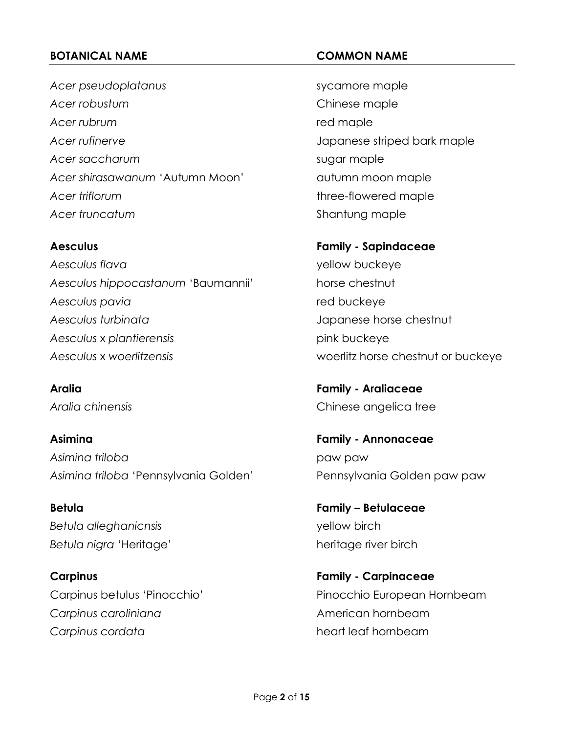Acer pseudoplatanus and a sycamore maple *Acer robustum* Chinese maple Acer rubrum and the state of the state of the state of the state of the state of the state of the state of the state of the state of the state of the state of the state of the state of the state of the state of the state o *Acer rufinerve* Japanese striped bark maple Acer saccharum and sugar maple Acer shirasawanum 'Autumn Moon' autumn moon maple Acer *triflorum* three-flowered maple Acer truncatum<br>
Shantung maple

Aesculus flava yellow buckeye *Aesculus hippocastanum* 'Baumannii' horse chestnut *Aesculus pavia* red buckeye *Aesculus turbinata* Japanese horse chestnut *Aesculus* x *plantierensis* pink buckeye *Aesculus* x *woerlitzensis* woerlitz horse chestnut or buckeye

**Asimina Family - Annonaceae** *Asimina triloba* paw paw *Asimina triloba* 'Pennsylvania Golden' Pennsylvania Golden paw paw

*Betula alleghanicnsis* yellow birch Betula nigra 'Heritage' heritage river birch

**Carpinus caroliniana** Carpinus caroliniana **Carpinus cordata heart leaf hornbeam** 

**Aesculus Family - Sapindaceae**

**Aralia Family - Araliaceae** *Aralia chinensis* Chinese angelica tree

**Betula Family – Betulaceae**

**Carpinus Family - Carpinaceae** Carpinus betulus 'Pinocchio' Pinocchio European Hornbeam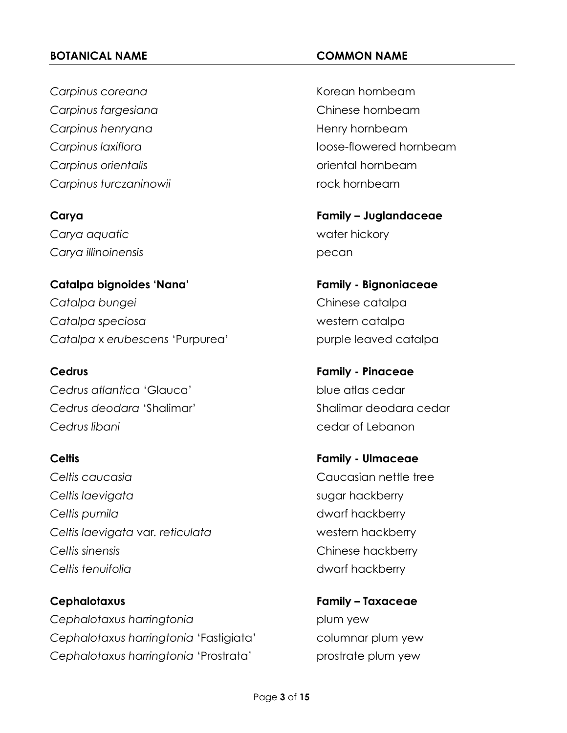**Carpinus coreana** Carpinus coreana **Carpinus fargesiana** Chinese hornbeam **Carpinus henryana Henry hornbeam** *Carpinus orientalis* oriental hornbeam **Carpinus turczaninowii rock hornbeam** 

*Carya aquatic* water hickory *Carya illinoinensis* pecan

**Catalpa bignoides 'Nana' Family - Bignoniaceae** *Catalpa bungei* Chinese catalpa *Catalpa speciosa* western catalpa Catalpa x *erubescens* 'Purpurea' purple leaved catalpa

*Cedrus atlantica* 'Glauca' blue atlas cedar *Cedrus deodara* 'Shalimar' Shalimar deodara cedar *Cedrus libani* cedar of Lebanon

# **Celtis Family - Ulmaceae** *Celtis caucasia* Caucasian nettle tree *Celtis laevigata* sugar hackberry **Celtis pumila dwarf hackberry** *Celtis laevigata* var*. reticulata* western hackberry *Celtis sinensis* Chinese hackberry

**Cephalotaxus Family – Taxaceae Cephalotaxus harringtonia plum yew** *Cephalotaxus harringtonia* 'Fastigiata' columnar plum yew Cephalotaxus harringtonia 'Prostrata' prostrate plum yew

**Carpinus laxiflora loose-flowered hornbeam** 

**Carya Family – Juglandaceae**

**Cedrus Family - Pinaceae**

**Celtis tenuifolia dwarf hackberry**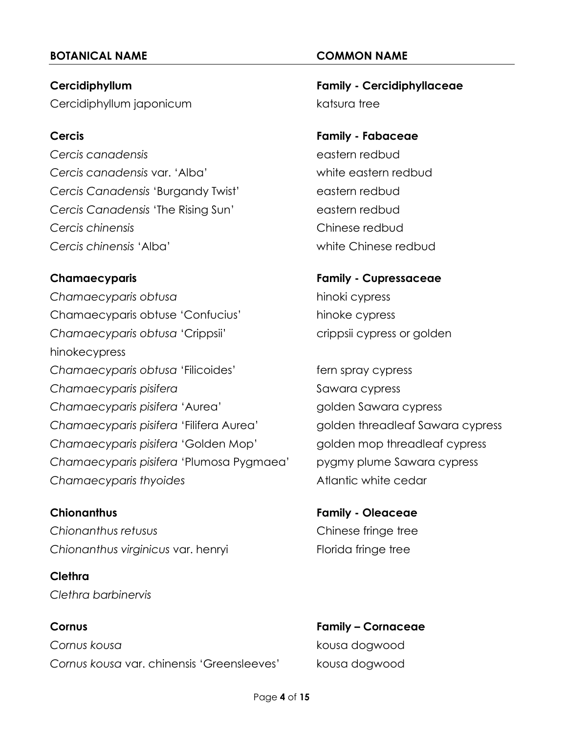Cercidiphyllum japonicum et al. et al. et al. et al. et al. et al. et al. et al. et al. et al. et al. et al. e

*Cercis canadensis* eastern redbud *Cercis canadensis* var. 'Alba' white eastern redbud Cercis Canadensis 'Burgandy Twist' eastern redbud Cercis Canadensis 'The Rising Sun' eastern redbud *Cercis chinensis* Chinese redbud *Cercis chinensis* 'Alba' white Chinese redbud

*Chamaecyparis obtusa* hinoki cypress Chamaecyparis obtuse 'Confucius' hinoke cypress *Chamaecyparis obtusa* 'Crippsii' crippsii cypress or golden hinokecypress Chamaecyparis obtusa 'Filicoides' fern spray cypress *Chamaecyparis pisifera* Sawara cypress Chamaecyparis pisifera 'Aurea' golden Sawara cypress *Chamaecyparis pisifera* 'Filifera Aurea' golden threadleaf Sawara cypress *Chamaecyparis pisifera* 'Golden Mop' golden mop threadleaf cypress *Chamaecyparis pisifera* 'Plumosa Pygmaea' pygmy plume Sawara cypress **Chamaecyparis thyoides Atlantic white cedar** 

*Chionanthus retusus* Chinese fringe tree Chionanthus virginicus var. henryi Florida fringe tree

# **Clethra** *Clethra barbinervis*

# **Cornus Family – Cornaceae** *Cornus kousa* kousa dogwood *Cornus kousa* var. chinensis 'Greensleeves' kousa dogwood

**Cercidiphyllum Family - Cercidiphyllaceae**

# **Cercis Family - Fabaceae**

**Chamaecyparis Family - Cupressaceae**

**Chionanthus Family - Oleaceae**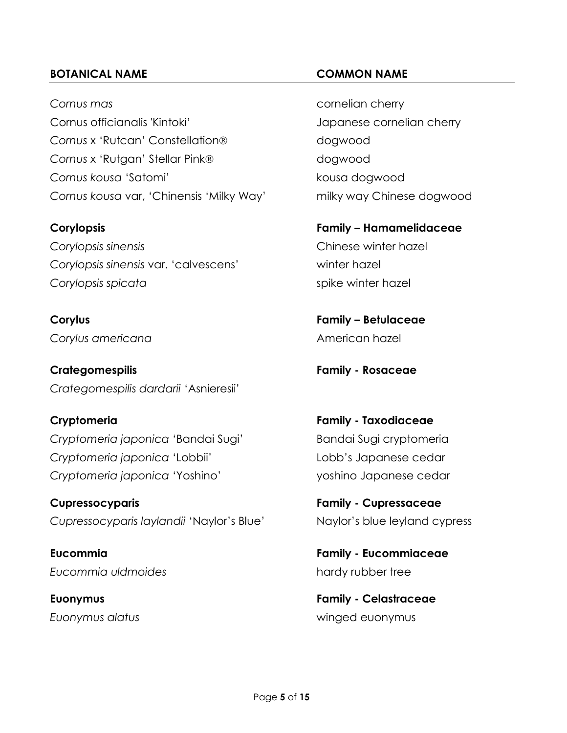*Cornus mas* cornelian cherry Cornus officianalis 'Kintoki' Japanese cornelian cherry **Cornus** x 'Rutcan' Constellation<sup>®</sup> dogwood Cornus x 'Rutgan' Stellar Pink® and a composition of the state of the state of the state of the state of the state of the state of the state of the state of the state of the state of the state of the state of the state of **Cornus kousa** 'Satomi' kousa dogwood *Cornus kousa* var, 'Chinensis 'Milky Way' milky way Chinese dogwood

*Corylopsis sinensis* Chinese winter hazel *Corylopsis sinensis* var. 'calvescens' winter hazel **Corylopsis spicata** spike winter hazel

**Corylus americana** Corylus americana

**Crategomespilis Family - Rosaceae** *Crategomespilis dardarii* 'Asnieresii'

*Cryptomeria japonica* 'Bandai Sugi' Bandai Sugi cryptomeria *Cryptomeria japonica* 'Lobbii' Lobb's Japanese cedar *Cryptomeria japonica* 'Yoshino' yoshino Japanese cedar

**Cupressocyparis Family - Cupressaceae** *Cupressocyparis laylandii* 'Naylor's Blue' Naylor's blue leyland cypress

*Eucommia uldmoides* hardy rubber tree

**Corylopsis Family – Hamamelidaceae**

**Corylus Family – Betulaceae**

**Cryptomeria Family - Taxodiaceae**

**Eucommia Family - Eucommiaceae**

**Euonymus Family - Celastraceae** *Euonymus alatus* winged euonymus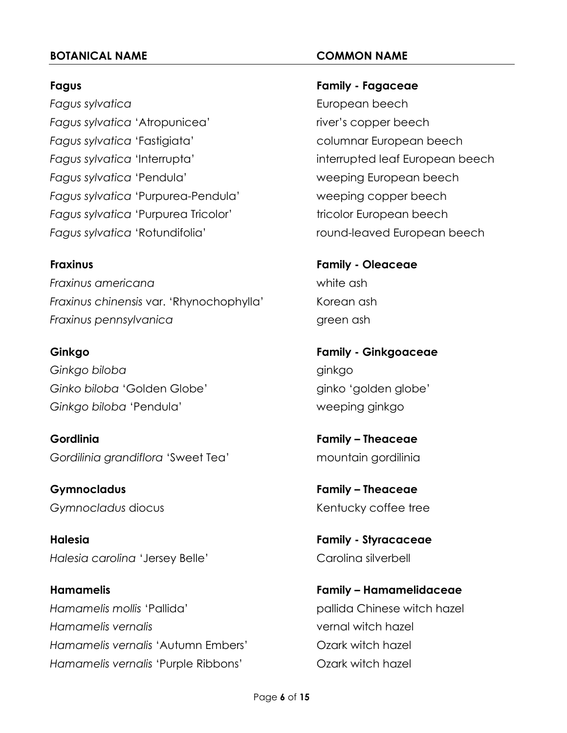*Fagus sylvatica* European beech Fagus sylvatica 'Atropunicea' river's copper beech Fagus sylvatica 'Fastigiata' columnar European beech *Fagus sylvatica* 'Interrupta' interrupted leaf European beech *Fagus sylvatica* 'Pendula' weeping European beech *Fagus sylvatica* 'Purpurea-Pendula' weeping copper beech Fagus sylvatica 'Purpurea Tricolor' tricolor European beech

*Fraxinus americana* white ash *Fraxinus chinensis* var. 'Rhynochophylla' Korean ash *Fraxinus pennsylvanica* green ash

*Ginkgo biloba* ginkgo Ginko biloba 'Golden Globe' ginko 'golden globe' *Ginkgo biloba* 'Pendula' weeping ginkgo

**Gordlinia Family – Theaceae** Gordilinia grandiflora 'Sweet Tea' mountain gordilinia

**Gymnocladus Family – Theaceae Gymnocladus** diocus **Community Contracts** Kentucky coffee tree

**Halesia Family - Styracaceae** Halesia carolina 'Jersey Belle' Carolina silverbell

*Hamamelis mollis* 'Pallida' pallida Chinese witch hazel *Hamamelis vernalis* vernal witch hazel *Hamamelis vernalis* 'Autumn Embers' Ozark witch hazel Hamamelis vernalis 'Purple Ribbons' **Czark witch hazel** 

**Fagus Family - Fagaceae**

*Fagus sylvatica* 'Rotundifolia' round-leaved European beech

**Fraxinus Family - Oleaceae**

**Ginkgo Family - Ginkgoaceae**

**Hamamelis Family – Hamamelidaceae**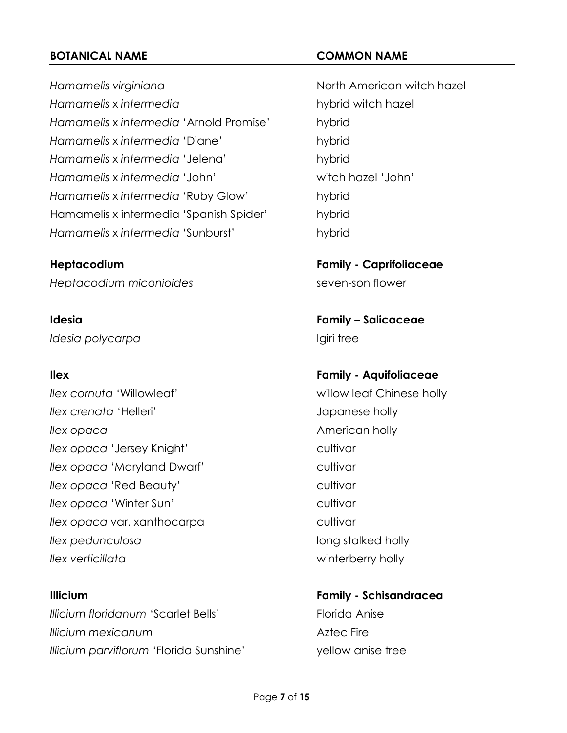Hamamelis virginiana<br>
Hamamelis virginiana *Hamamelis* x *intermedia* hybrid witch hazel *Hamamelis* x *intermedia* 'Arnold Promise' hybrid *Hamamelis* x *intermedia* 'Diane' hybrid *Hamamelis* x *intermedia* 'Jelena' hybrid *Hamamelis* x *intermedia* 'John' witch hazel 'John' *Hamamelis* x *intermedia* 'Ruby Glow' hybrid Hamamelis x intermedia 'Spanish Spider' hybrid *Hamamelis* x *intermedia* 'Sunburst' hybrid

*Heptacodium miconioides* seven-son flower

*Idesia polycarpa* and **If the Igiri tree** 

**Ilex** cornuta 'Willowleaf' willow leaf Chinese holly *Ilex crenata* 'Helleri' *COVE Iapanese holly Ilex opaca* American holly *Ilex opaca* 'Jersey Knight' cultivar *Ilex opaca* 'Maryland Dwarf' cultivar *Ilex opaca* 'Red Beauty' cultivar *Ilex opaca* 'Winter Sun' **cultivar** cultivar *Ilex opaca* var. xanthocarpa and the cultivar *Ilex pedunculosa* long stalked holly *Ilex verticillata* winterberry holly

**Illicium Family - Schisandracea** *Illicium floridanum 'Scarlet Bells'* Florida Anise **Illicium mexicanum Aztec Fire** *Illicium parviflorum* 'Florida Sunshine' yellow anise tree

**Heptacodium Family - Caprifoliaceae**

**Idesia Family – Salicaceae**

**Ilex Family - Aquifoliaceae**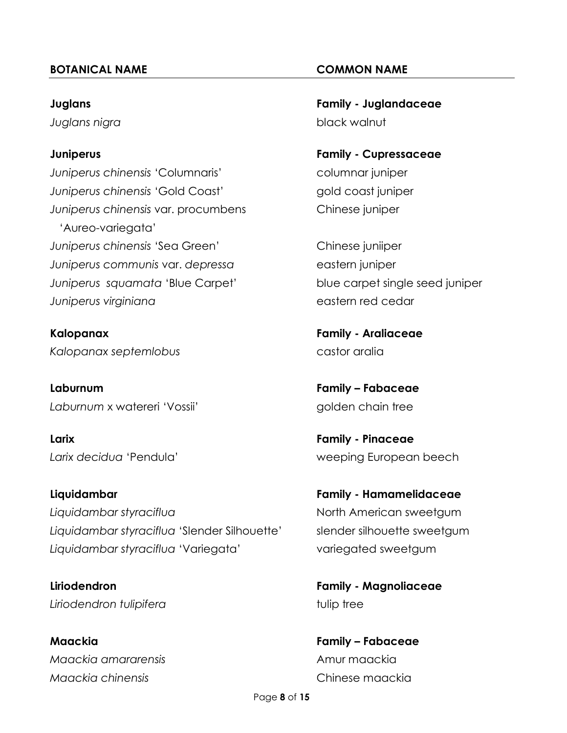*Juniperus chinensis* 'Columnaris' columnar juniper *Juniperus chinensis* 'Gold Coast' gold coast juniper *Juniperus chinensis* var. procumbens Chinese juniper 'Aureo-variegata' *Juniperus chinensis* 'Sea Green' Chinese juniiper *Juniperus* communis var. *depressa* eastern juniper *Juniperus squamata* 'Blue Carpet' blue carpet single seed juniper *Juniperus virginiana* eastern red cedar

**Kalopanax Family - Araliaceae** *Kalopanax septemlobus* castor aralia

**Laburnum Family – Fabaceae** Laburnum x watereri 'Vossii' golden chain tree

**Larix Family - Pinaceae**

**Liquidambar Family - Hamamelidaceae** *Liquidambar styraciflua* North American sweetgum Liquidambar styraciflua 'Slender Silhouette' slender silhouette sweetgum Liquidambar styraciflua 'Variegata' variegated sweetgum

*Liriodendron tulipifera* tulip tree

**Maackia Family – Fabaceae** *Maackia amararensis* Amur maackia *Maackia chinensis* Chinese maackia

**Juglans Family - Juglandaceae** *Juglans nigra* black walnut

**Juniperus Family - Cupressaceae**

*Larix decidua* 'Pendula' weeping European beech

**Liriodendron Family - Magnoliaceae**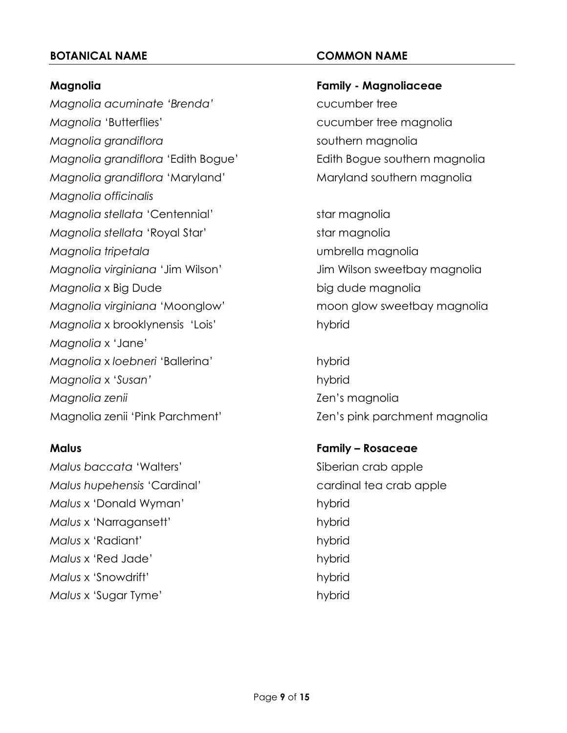*Magnolia acuminate 'Brenda'* cucumber tree *Magnolia* 'Butterflies' Magnolia **Cucumber tree magnolia** *Magnolia grandiflora* southern magnolia *Magnolia grandiflora* 'Edith Bogue' Edith Bogue southern magnolia *Magnolia grandiflora* 'Maryland' Maryland southern magnolia *Magnolia officinalis Magnolia stellata* 'Centennial' star magnolia *Magnolia stellata* 'Royal Star' star magnolia *Magnolia tripetala* umbrella magnolia *Magnolia virginiana* 'Jim Wilson' Jim Wilson sweetbay magnolia *Magnolia* x Big Dude big dude magnolia *Magnolia virginiana* 'Moonglow' moon glow sweetbay magnolia *Magnolia* x brooklynensis 'Lois' hybrid *Magnolia* x 'Jane' *Magnolia* x *loebneri* 'Ballerina' hybrid *Magnolia* x '*Susan'* hybrid *Magnolia zenii* Zen's magnolia

*Malus baccata* 'Walters' Siberian crab apple *Malus hupehensis* 'Cardinal' cardinal tea crab apple *Malus* x 'Donald Wyman' hybrid *Malus x 'Narragansett'* hybrid *Malus* x 'Radiant' hybrid *Malus* x 'Red Jade' hybrid *Malus* x 'Snowdrift' hybrid **Malus** x 'Sugar Tyme' hybrid

# **Magnolia Family - Magnoliaceae**

Magnolia zenii 'Pink Parchment' Zen's pink parchment magnolia

# **Malus Family – Rosaceae**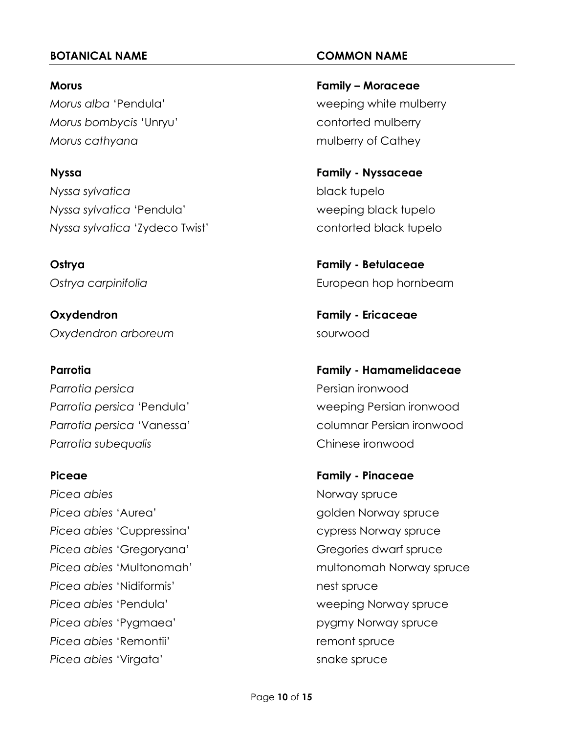*Morus bombycis* 'Unryu' contorted mulberry *Morus cathyana* mulberry of Cathey

*Nyssa sylvatica* black tupelo *Nyssa sylvatica* 'Pendula' weeping black tupelo *Nyssa sylvatica* 'Zydeco Twist' contorted black tupelo

**Oxydendron Family - Ericaceae Oxydendron** arboreum sourwood

*Parrotia persica* Persian ironwood *Parrotia subequalis* Chinese ironwood

**Picea** abies **Norway spruce Norway spruce** Picea abies 'Aurea' and a series are a series of the spruce golden Norway spruce Picea abies 'Cuppressina' cypress Norway spruce Picea abies 'Gregoryana' Gregories dwarf spruce **Picea** *abies* 'Nidiformis' nest spruce *Picea abies* 'Pendula' weeping Norway spruce Picea abies 'Pygmaea' pygmy Norway spruce **Picea** abies 'Remontii' remont spruce **Picea** abies 'Virgata' snake spruce

**Morus Family – Moraceae** *Morus alba* 'Pendula' weeping white mulberry

**Nyssa Family - Nyssaceae**

**Ostrya Family - Betulaceae Ostrya** carpinifolia **European hop hornbeam** 

**Parrotia Family - Hamamelidaceae** *Parrotia persica* 'Pendula' weeping Persian ironwood Parrotia persica 'Vanessa' columnar Persian ironwood

**Piceae Family - Pinaceae** Picea abies 'Multonomah' multonomah Norway spruce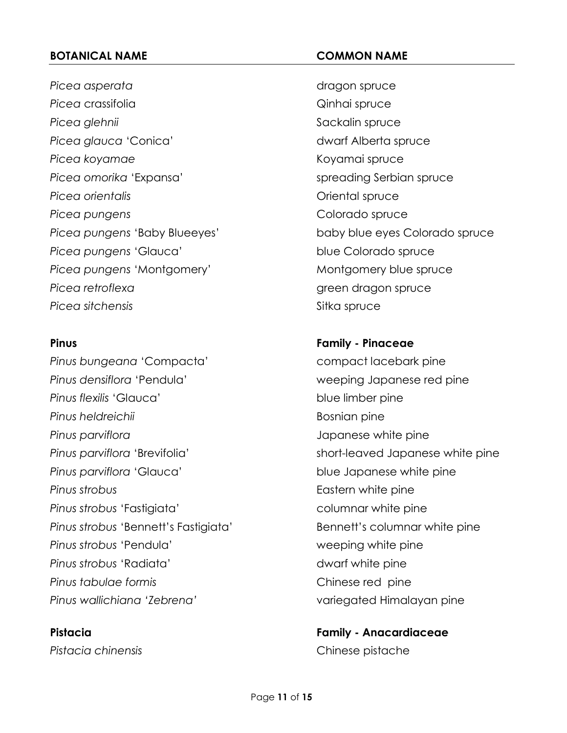Picea *asperata* dragon spruce Picea crassifolia and a crassifolia and a crassifolial control of the Qinhai spruce **Picea** glehnii Sackalin spruce *Picea glauca* 'Conica' dwarf Alberta spruce *Picea koyamae* Koyamai spruce Picea *omorika* 'Expansa' spreading Serbian spruce **Picea** *orientalis* **Direction** *Picea orientalis Oriental spruce Picea pungens* Colorado spruce Picea pungens 'Glauca' blue Colorado spruce Picea pungens 'Montgomery' Montgomery Montgomery blue spruce **Picea** *retroflexa retroflexa* green dragon spruce **Picea** sitchensis Sitka spruce

Pinus bungeana 'Compacta' compact lacebark pine *Pinus densiflora* 'Pendula' weeping Japanese red pine **Pinus flexilis** 'Glauca' blue limber pine **Pinus heldreichii** Bosnian pine *Pinus parviflora* Japanese white pine **Pinus parviflora 'Glauca'** blue Japanese white pine **Pinus strobus Eastern white pine** Pinus strobus 'Fastigiata' columnar white pine Pinus *strobus* 'Bennett's Fastigiata' Bennett's columnar white pine **Pinus strobus 'Pendula'** weeping white pine **Pinus** strobus 'Radiata' dwarf white pine **Pinus tabulae formis Chinese red pine** *Pinus wallichiana 'Zebrena'* variegated Himalayan pine

*Picea pungens* 'Baby Blueeyes' baby blue eyes Colorado spruce

# **Pinus Family - Pinaceae**

Pinus parviflora 'Brevifolia' short-leaved Japanese white pine

**Pistacia Family - Anacardiaceae** *Pistacia chinensis* Chinese pistache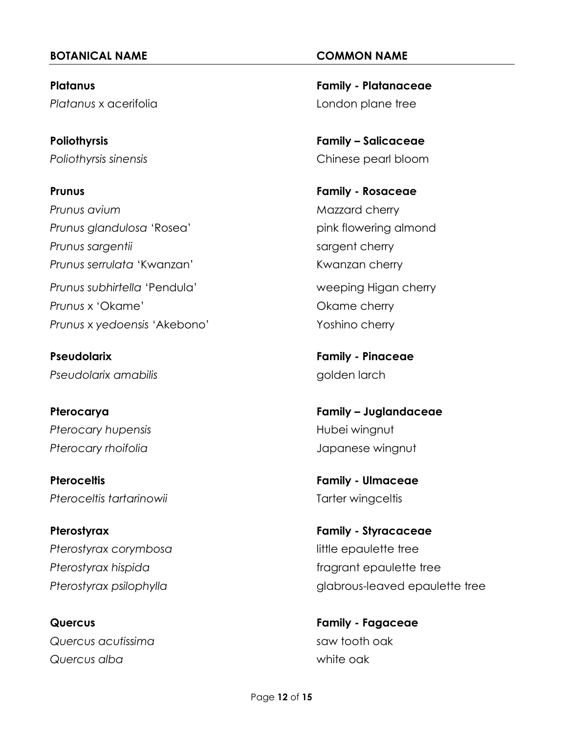**Platanus** x acerifolia London plane tree

**Prunus Family - Rosaceae** *Prunus avium* Mazzard cherry **Prunus glandulosa 'Rosea'** pink flowering almond **Prunus** sargentii sargent cherry **Prunus serrulata 'Kwanzan'** Kwanzan Kwanzan cherry Prunus subhirtella 'Pendula' weeping Higan cherry **Prunus** x 'Okame' **Changes** Cherry Cherry Cherry **Prunus** x yedoensis 'Akebono' Yoshino cherry

**Pseudolarix amabilis** and **properties** and **golden** larch

Pterocary hupensis and a setting the setting of the Hubei wingnut *Pterocary rhoifolia* Japanese wingnut

**Pteroceltis Family - Ulmaceae** Pteroceltis *tartarinowii* Tarter wingceltis

**Pterostyrax Family - Styracaceae** Pterostyrax corymbosa **and a computer in the example of the example of the epaulette tree** 

*Quercus* acutissima saw tooth oak *Quercus alba* white oak

**Platanus Family - Platanaceae** 

**Poliothyrsis Family – Salicaceae** *Poliothyrsis sinensis* Chinese pearl bloom

**Pseudolarix Family - Pinaceae**

**Pterocarya Family – Juglandaceae**

Pterostyrax hispida **fragrams** fragrant epaulette tree *Pterostyrax psilophylla* glabrous-leaved epaulette tree

**Quercus Family - Fagaceae**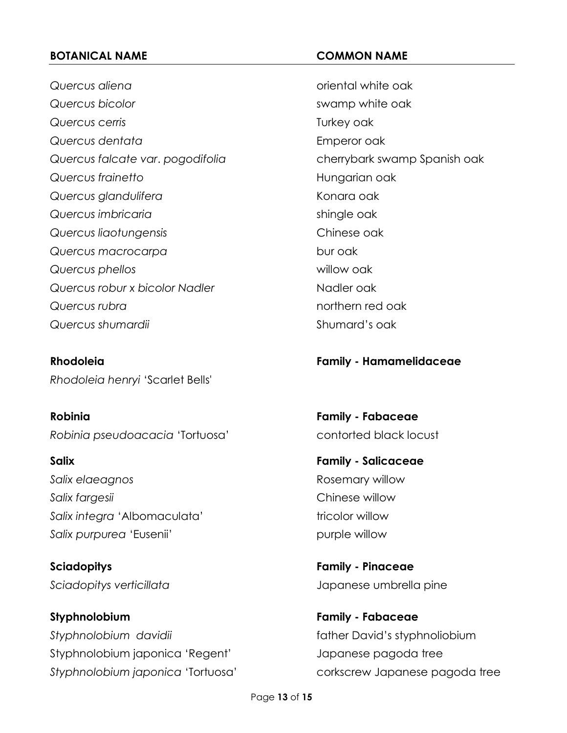*Quercus aliena* oriental white oak *Quercus* bicolor **bigger is a contract of the swamp white oak** *Quercus cerris* **COVER 2008** *COVERSITY <b>COVERS COVERSITY <i>COVERSITY <b>COVERS* **Quercus** dentata **Emperor oak** *Quercus falcate var*. *pogodifolia* cherrybark swamp Spanish oak *Quercus frainetto* **Hungarian oak** *Quercus glandulifera* Konara oak *Quercus imbricaria* entries and the shingle oak *Quercus liaotungensis* Chinese oak *Quercus macrocarpa* bur oak *Quercus phellos* willow oak **Quercus robur x bicolor Nadler** Nadler Nadler oak *Quercus rubra* northern red oak *Quercus shumardii* Shumard's oak

**Rhodoleia Family - Hamamelidaceae** *Rhodoleia henryi* 'Scarlet Bells'

**Robinia Family - Fabaceae** *Robinia pseudoacacia* 'Tortuosa' contorted black locust

**Salix Family - Salicaceae Salix** elaeagnos **Rosemary willow** *Salix fargesii* Chinese willow Salix integra 'Albomaculata' tricolor willow Salix purpurea 'Eusenii' **purple willow** 

**Sciadopitys Family - Pinaceae**

**Styphnolobium Family - Fabaceae** *Styphnolobium davidii* father David's styphnoliobium Styphnolobium japonica 'Regent' Japanese pagoda tree *Styphnolobium japonica* 'Tortuosa' corkscrew Japanese pagoda tree

*Sciadopitys verticillata* Japanese umbrella pine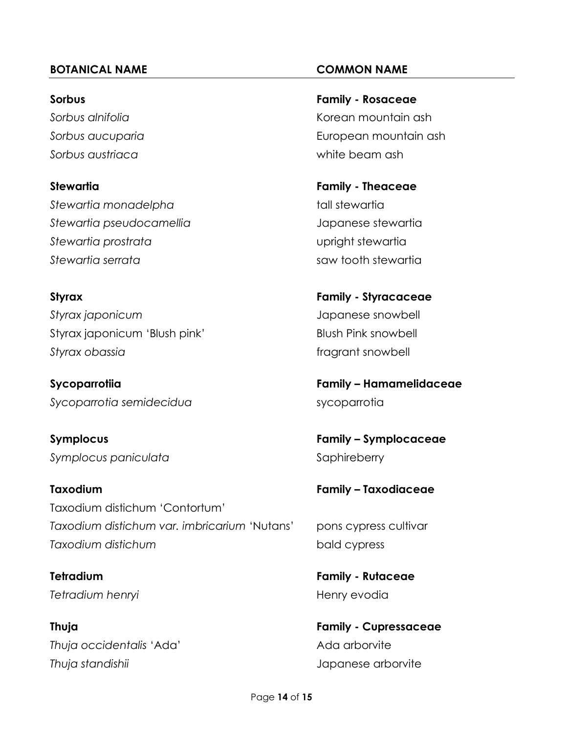*Sorbus austriaca* white beam ash

*Stewartia monadelpha* tall stewartia *Stewartia pseudocamellia* Japanese stewartia **Stewartia** prostrata *Stewartia serrata* saw tooth stewartia

*Styrax japonicum* Japanese snowbell Styrax japonicum 'Blush pink' Blush Pink snowbell **Styrax** obassia **fragrams** obassia **fragrams** obassia **fragrams**  $\mathbf{S}$ 

*Sycoparrotia semidecidua* sycoparrotia

*Symplocus paniculata* Symplocus paniculata

**Taxodium Family – Taxodiaceae** Taxodium distichum 'Contortum' *Taxodium distichum var. imbricarium* 'Nutans' pons cypress cultivar *Taxodium distichum* bald cypress

**Tetradium henryi henryi henry evodia** 

**Thuja Family - Cupressaceae** *Thuja occidentalis* 'Ada' Ada arborvite *Thuja standishii* Japanese arborvite

**Sorbus Family - Rosaceae** *Sorbus alnifolia* Korean mountain ash *Sorbus aucuparia* European mountain ash

**Stewartia Family - Theaceae**

**Styrax Family - Styracaceae**

**Sycoparrotiia Family – Hamamelidaceae**

**Symplocus Family – Symplocaceae**

**Tetradium Family - Rutaceae**